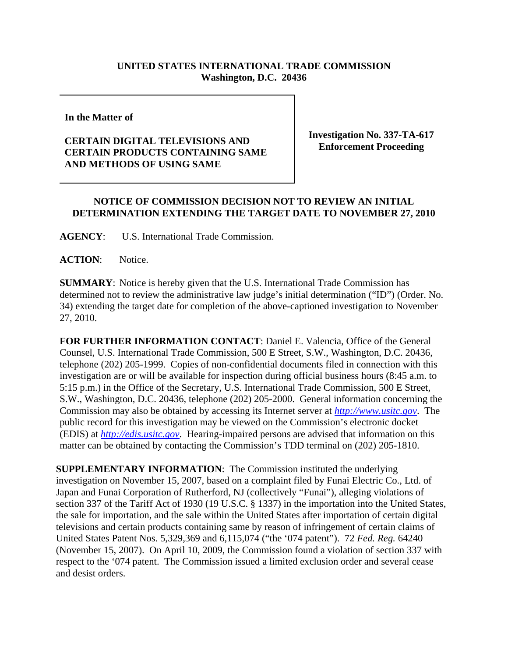## **UNITED STATES INTERNATIONAL TRADE COMMISSION Washington, D.C. 20436**

**In the Matter of** 

## **CERTAIN DIGITAL TELEVISIONS AND CERTAIN PRODUCTS CONTAINING SAME AND METHODS OF USING SAME**

**Investigation No. 337-TA-617 Enforcement Proceeding**

## **NOTICE OF COMMISSION DECISION NOT TO REVIEW AN INITIAL DETERMINATION EXTENDING THE TARGET DATE TO NOVEMBER 27, 2010**

**AGENCY**: U.S. International Trade Commission.

ACTION: Notice.

**SUMMARY**: Notice is hereby given that the U.S. International Trade Commission has determined not to review the administrative law judge's initial determination ("ID") (Order. No. 34) extending the target date for completion of the above-captioned investigation to November 27, 2010.

**FOR FURTHER INFORMATION CONTACT**: Daniel E. Valencia, Office of the General Counsel, U.S. International Trade Commission, 500 E Street, S.W., Washington, D.C. 20436, telephone (202) 205-1999. Copies of non-confidential documents filed in connection with this investigation are or will be available for inspection during official business hours (8:45 a.m. to 5:15 p.m.) in the Office of the Secretary, U.S. International Trade Commission, 500 E Street, S.W., Washington, D.C. 20436, telephone (202) 205-2000. General information concerning the Commission may also be obtained by accessing its Internet server at *http://www.usitc.gov*. The public record for this investigation may be viewed on the Commission's electronic docket (EDIS) at *http://edis.usitc.gov*. Hearing-impaired persons are advised that information on this matter can be obtained by contacting the Commission's TDD terminal on (202) 205-1810.

**SUPPLEMENTARY INFORMATION**: The Commission instituted the underlying investigation on November 15, 2007, based on a complaint filed by Funai Electric Co., Ltd. of Japan and Funai Corporation of Rutherford, NJ (collectively "Funai"), alleging violations of section 337 of the Tariff Act of 1930 (19 U.S.C. § 1337) in the importation into the United States, the sale for importation, and the sale within the United States after importation of certain digital televisions and certain products containing same by reason of infringement of certain claims of United States Patent Nos. 5,329,369 and 6,115,074 ("the '074 patent"). 72 *Fed. Reg.* 64240 (November 15, 2007). On April 10, 2009, the Commission found a violation of section 337 with respect to the '074 patent. The Commission issued a limited exclusion order and several cease and desist orders.